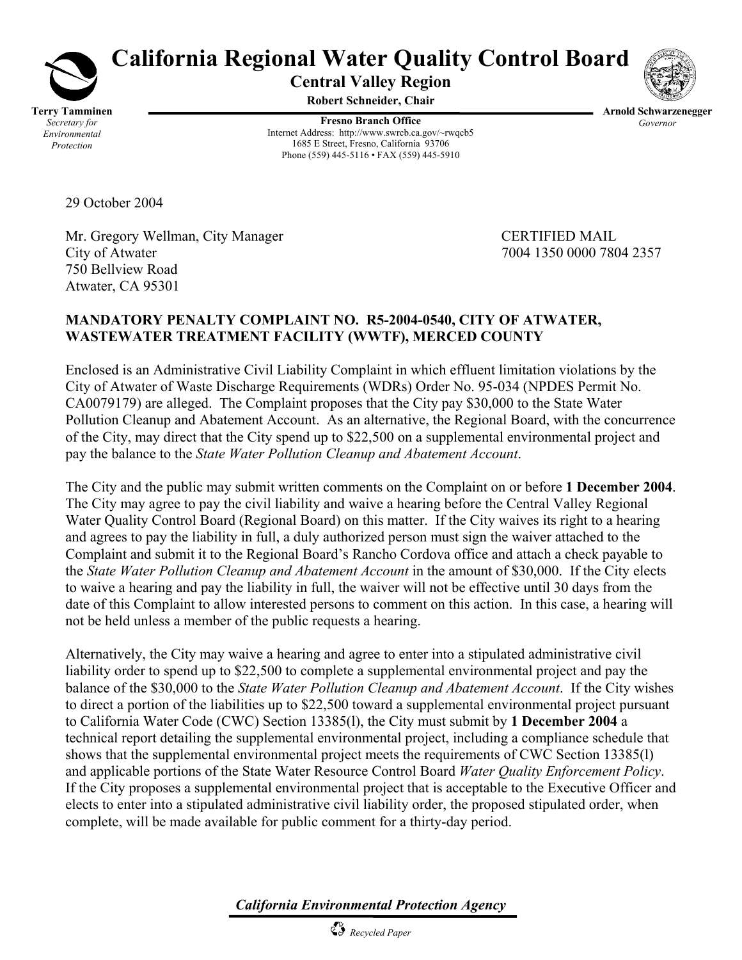

# **California Regional Water Quality Control Board**

**Central Valley Region** 

**Robert Schneider, Chair** 

**Fresno Branch Office** Internet Address: http://www.swrcb.ca.gov/~rwqcb5 1685 E Street, Fresno, California 93706 Phone (559) 445-5116 • FAX (559) 445-5910

**Arnold Schwarzenegger** *Governor* 

29 October 2004

Mr. Gregory Wellman, City Manager CERTIFIED MAIL City of Atwater 7004 1350 0000 7804 2357 750 Bellview Road Atwater, CA 95301

## **MANDATORY PENALTY COMPLAINT NO. R5-2004-0540, CITY OF ATWATER, WASTEWATER TREATMENT FACILITY (WWTF), MERCED COUNTY**

Enclosed is an Administrative Civil Liability Complaint in which effluent limitation violations by the City of Atwater of Waste Discharge Requirements (WDRs) Order No. 95-034 (NPDES Permit No. CA0079179) are alleged. The Complaint proposes that the City pay \$30,000 to the State Water Pollution Cleanup and Abatement Account. As an alternative, the Regional Board, with the concurrence of the City, may direct that the City spend up to \$22,500 on a supplemental environmental project and pay the balance to the *State Water Pollution Cleanup and Abatement Account*.

The City and the public may submit written comments on the Complaint on or before **1 December 2004**. The City may agree to pay the civil liability and waive a hearing before the Central Valley Regional Water Quality Control Board (Regional Board) on this matter. If the City waives its right to a hearing and agrees to pay the liability in full, a duly authorized person must sign the waiver attached to the Complaint and submit it to the Regional Board's Rancho Cordova office and attach a check payable to the *State Water Pollution Cleanup and Abatement Account* in the amount of \$30,000. If the City elects to waive a hearing and pay the liability in full, the waiver will not be effective until 30 days from the date of this Complaint to allow interested persons to comment on this action. In this case, a hearing will not be held unless a member of the public requests a hearing.

Alternatively, the City may waive a hearing and agree to enter into a stipulated administrative civil liability order to spend up to \$22,500 to complete a supplemental environmental project and pay the balance of the \$30,000 to the *State Water Pollution Cleanup and Abatement Account*. If the City wishes to direct a portion of the liabilities up to \$22,500 toward a supplemental environmental project pursuant to California Water Code (CWC) Section 13385(l), the City must submit by **1 December 2004** a technical report detailing the supplemental environmental project, including a compliance schedule that shows that the supplemental environmental project meets the requirements of CWC Section 13385(l) and applicable portions of the State Water Resource Control Board *Water Quality Enforcement Policy*. If the City proposes a supplemental environmental project that is acceptable to the Executive Officer and elects to enter into a stipulated administrative civil liability order, the proposed stipulated order, when complete, will be made available for public comment for a thirty-day period.

*California Environmental Protection Agency*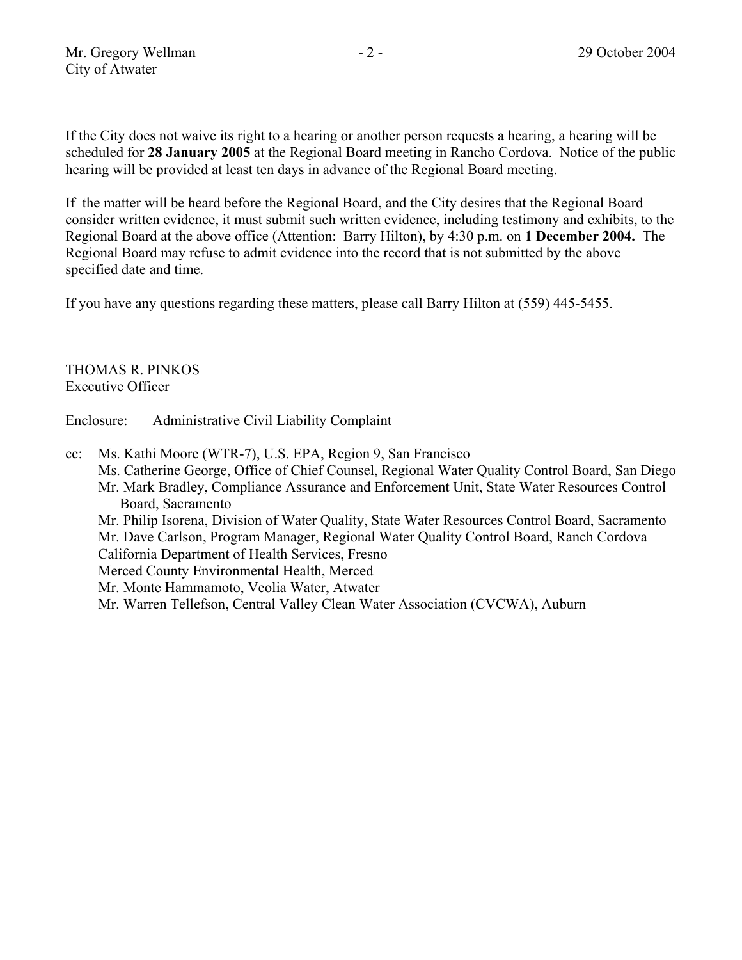If the City does not waive its right to a hearing or another person requests a hearing, a hearing will be scheduled for **28 January 2005** at the Regional Board meeting in Rancho Cordova. Notice of the public hearing will be provided at least ten days in advance of the Regional Board meeting.

If the matter will be heard before the Regional Board, and the City desires that the Regional Board consider written evidence, it must submit such written evidence, including testimony and exhibits, to the Regional Board at the above office (Attention: Barry Hilton), by 4:30 p.m. on **1 December 2004.** The Regional Board may refuse to admit evidence into the record that is not submitted by the above specified date and time.

If you have any questions regarding these matters, please call Barry Hilton at (559) 445-5455.

THOMAS R. PINKOS Executive Officer

Enclosure: Administrative Civil Liability Complaint

cc: Ms. Kathi Moore (WTR-7), U.S. EPA, Region 9, San Francisco Ms. Catherine George, Office of Chief Counsel, Regional Water Quality Control Board, San Diego Mr. Mark Bradley, Compliance Assurance and Enforcement Unit, State Water Resources Control Board, Sacramento Mr. Philip Isorena, Division of Water Quality, State Water Resources Control Board, Sacramento Mr. Dave Carlson, Program Manager, Regional Water Quality Control Board, Ranch Cordova California Department of Health Services, Fresno Merced County Environmental Health, Merced Mr. Monte Hammamoto, Veolia Water, Atwater

Mr. Warren Tellefson, Central Valley Clean Water Association (CVCWA), Auburn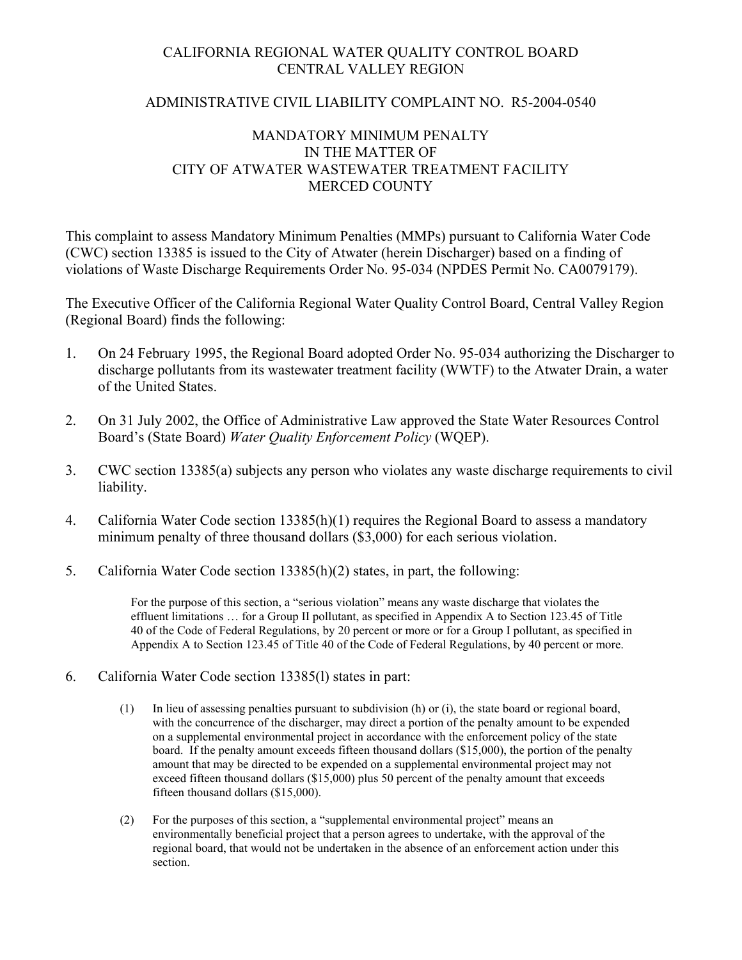#### CALIFORNIA REGIONAL WATER QUALITY CONTROL BOARD CENTRAL VALLEY REGION

#### ADMINISTRATIVE CIVIL LIABILITY COMPLAINT NO. R5-2004-0540

#### MANDATORY MINIMUM PENALTY IN THE MATTER OF CITY OF ATWATER WASTEWATER TREATMENT FACILITY MERCED COUNTY

This complaint to assess Mandatory Minimum Penalties (MMPs) pursuant to California Water Code (CWC) section 13385 is issued to the City of Atwater (herein Discharger) based on a finding of violations of Waste Discharge Requirements Order No. 95-034 (NPDES Permit No. CA0079179).

The Executive Officer of the California Regional Water Quality Control Board, Central Valley Region (Regional Board) finds the following:

- 1. On 24 February 1995, the Regional Board adopted Order No. 95-034 authorizing the Discharger to discharge pollutants from its wastewater treatment facility (WWTF) to the Atwater Drain, a water of the United States.
- 2. On 31 July 2002, the Office of Administrative Law approved the State Water Resources Control Board's (State Board) *Water Quality Enforcement Policy* (WQEP).
- 3. CWC section 13385(a) subjects any person who violates any waste discharge requirements to civil liability.
- 4. California Water Code section 13385(h)(1) requires the Regional Board to assess a mandatory minimum penalty of three thousand dollars (\$3,000) for each serious violation.
- 5. California Water Code section 13385(h)(2) states, in part, the following:

For the purpose of this section, a "serious violation" means any waste discharge that violates the effluent limitations … for a Group II pollutant, as specified in Appendix A to Section 123.45 of Title 40 of the Code of Federal Regulations, by 20 percent or more or for a Group I pollutant, as specified in Appendix A to Section 123.45 of Title 40 of the Code of Federal Regulations, by 40 percent or more.

- 6. California Water Code section 13385(l) states in part:
	- (1) In lieu of assessing penalties pursuant to subdivision (h) or (i), the state board or regional board, with the concurrence of the discharger, may direct a portion of the penalty amount to be expended on a supplemental environmental project in accordance with the enforcement policy of the state board. If the penalty amount exceeds fifteen thousand dollars (\$15,000), the portion of the penalty amount that may be directed to be expended on a supplemental environmental project may not exceed fifteen thousand dollars (\$15,000) plus 50 percent of the penalty amount that exceeds fifteen thousand dollars (\$15,000).
	- (2) For the purposes of this section, a "supplemental environmental project" means an environmentally beneficial project that a person agrees to undertake, with the approval of the regional board, that would not be undertaken in the absence of an enforcement action under this section.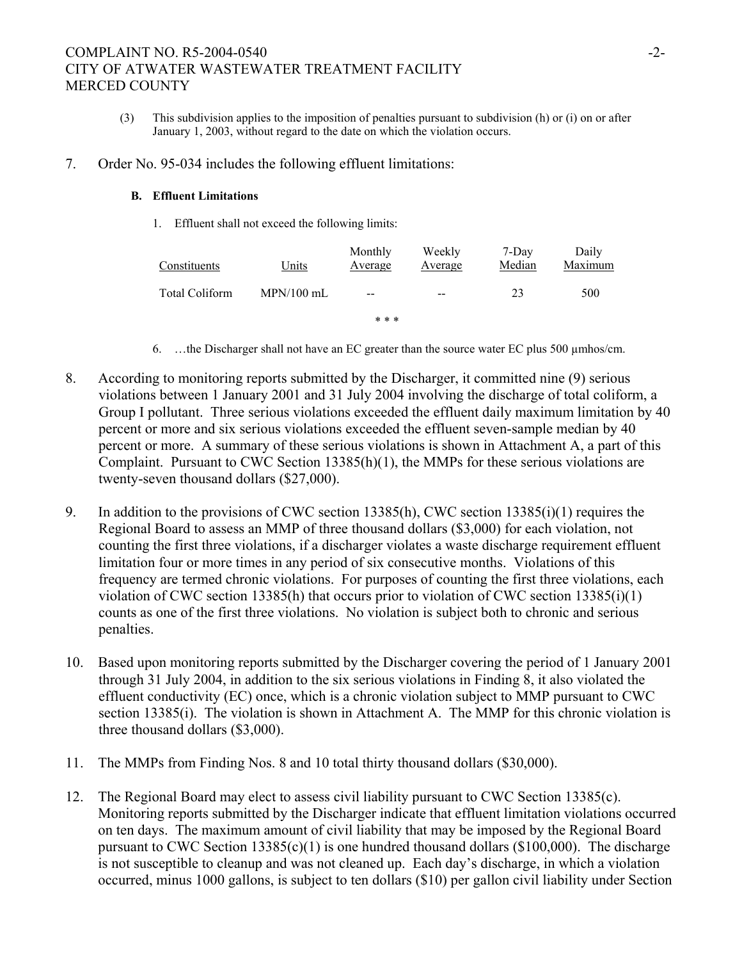## COMPLAINT NO. R5-2004-0540 -2-CITY OF ATWATER WASTEWATER TREATMENT FACILITY MERCED COUNTY

- (3) This subdivision applies to the imposition of penalties pursuant to subdivision (h) or (i) on or after January 1, 2003, without regard to the date on which the violation occurs.
- 7. Order No. 95-034 includes the following effluent limitations:

#### **B. Effluent Limitations**

1. Effluent shall not exceed the following limits:

| Constituents          | Units        | Monthly<br>Average | Weekly<br>Average | 7-Day<br>Median | Daily<br>Maximum |
|-----------------------|--------------|--------------------|-------------------|-----------------|------------------|
| <b>Total Coliform</b> | $MPN/100$ mL | --                 | $- -$             | 23              | 500              |
|                       |              | * * *              |                   |                 |                  |

- 6. …the Discharger shall not have an EC greater than the source water EC plus 500 µmhos/cm.
- 8. According to monitoring reports submitted by the Discharger, it committed nine (9) serious violations between 1 January 2001 and 31 July 2004 involving the discharge of total coliform, a Group I pollutant. Three serious violations exceeded the effluent daily maximum limitation by 40 percent or more and six serious violations exceeded the effluent seven-sample median by 40 percent or more. A summary of these serious violations is shown in Attachment A, a part of this Complaint. Pursuant to CWC Section 13385(h)(1), the MMPs for these serious violations are twenty-seven thousand dollars (\$27,000).
- 9. In addition to the provisions of CWC section 13385(h), CWC section 13385(i)(1) requires the Regional Board to assess an MMP of three thousand dollars (\$3,000) for each violation, not counting the first three violations, if a discharger violates a waste discharge requirement effluent limitation four or more times in any period of six consecutive months. Violations of this frequency are termed chronic violations. For purposes of counting the first three violations, each violation of CWC section 13385(h) that occurs prior to violation of CWC section 13385(i)(1) counts as one of the first three violations. No violation is subject both to chronic and serious penalties.
- 10. Based upon monitoring reports submitted by the Discharger covering the period of 1 January 2001 through 31 July 2004, in addition to the six serious violations in Finding 8, it also violated the effluent conductivity (EC) once, which is a chronic violation subject to MMP pursuant to CWC section 13385(i). The violation is shown in Attachment A. The MMP for this chronic violation is three thousand dollars (\$3,000).
- 11. The MMPs from Finding Nos. 8 and 10 total thirty thousand dollars (\$30,000).
- 12. The Regional Board may elect to assess civil liability pursuant to CWC Section 13385(c). Monitoring reports submitted by the Discharger indicate that effluent limitation violations occurred on ten days. The maximum amount of civil liability that may be imposed by the Regional Board pursuant to CWC Section  $13385(c)(1)$  is one hundred thousand dollars (\$100,000). The discharge is not susceptible to cleanup and was not cleaned up. Each day's discharge, in which a violation occurred, minus 1000 gallons, is subject to ten dollars (\$10) per gallon civil liability under Section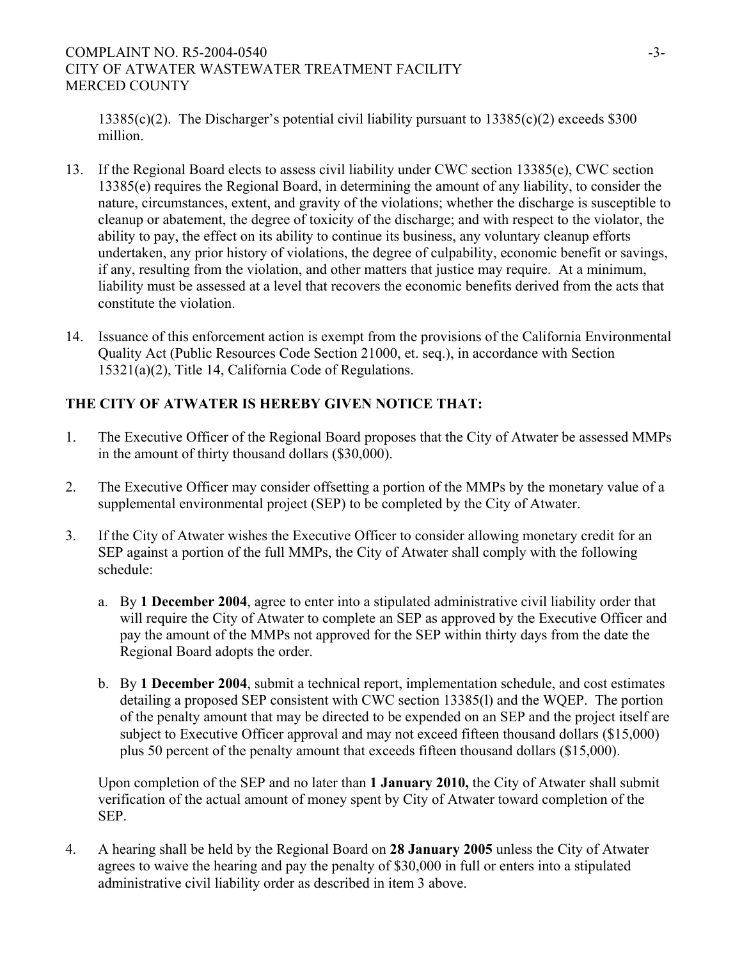#### COMPLAINT NO. R5-2004-0540 -3-CITY OF ATWATER WASTEWATER TREATMENT FACILITY MERCED COUNTY

13385(c)(2). The Discharger's potential civil liability pursuant to 13385(c)(2) exceeds \$300 million.

- 13. If the Regional Board elects to assess civil liability under CWC section 13385(e), CWC section 13385(e) requires the Regional Board, in determining the amount of any liability, to consider the nature, circumstances, extent, and gravity of the violations; whether the discharge is susceptible to cleanup or abatement, the degree of toxicity of the discharge; and with respect to the violator, the ability to pay, the effect on its ability to continue its business, any voluntary cleanup efforts undertaken, any prior history of violations, the degree of culpability, economic benefit or savings, if any, resulting from the violation, and other matters that justice may require. At a minimum, liability must be assessed at a level that recovers the economic benefits derived from the acts that constitute the violation.
- 14. Issuance of this enforcement action is exempt from the provisions of the California Environmental Quality Act (Public Resources Code Section 21000, et. seq.), in accordance with Section 15321(a)(2), Title 14, California Code of Regulations.

# **THE CITY OF ATWATER IS HEREBY GIVEN NOTICE THAT:**

- 1. The Executive Officer of the Regional Board proposes that the City of Atwater be assessed MMPs in the amount of thirty thousand dollars (\$30,000).
- 2. The Executive Officer may consider offsetting a portion of the MMPs by the monetary value of a supplemental environmental project (SEP) to be completed by the City of Atwater.
- 3. If the City of Atwater wishes the Executive Officer to consider allowing monetary credit for an SEP against a portion of the full MMPs, the City of Atwater shall comply with the following schedule:
	- a. By **1 December 2004**, agree to enter into a stipulated administrative civil liability order that will require the City of Atwater to complete an SEP as approved by the Executive Officer and pay the amount of the MMPs not approved for the SEP within thirty days from the date the Regional Board adopts the order.
	- b. By **1 December 2004**, submit a technical report, implementation schedule, and cost estimates detailing a proposed SEP consistent with CWC section 13385(l) and the WQEP. The portion of the penalty amount that may be directed to be expended on an SEP and the project itself are subject to Executive Officer approval and may not exceed fifteen thousand dollars (\$15,000) plus 50 percent of the penalty amount that exceeds fifteen thousand dollars (\$15,000).

Upon completion of the SEP and no later than **1 January 2010,** the City of Atwater shall submit verification of the actual amount of money spent by City of Atwater toward completion of the SEP.

4. A hearing shall be held by the Regional Board on **28 January 2005** unless the City of Atwater agrees to waive the hearing and pay the penalty of \$30,000 in full or enters into a stipulated administrative civil liability order as described in item 3 above.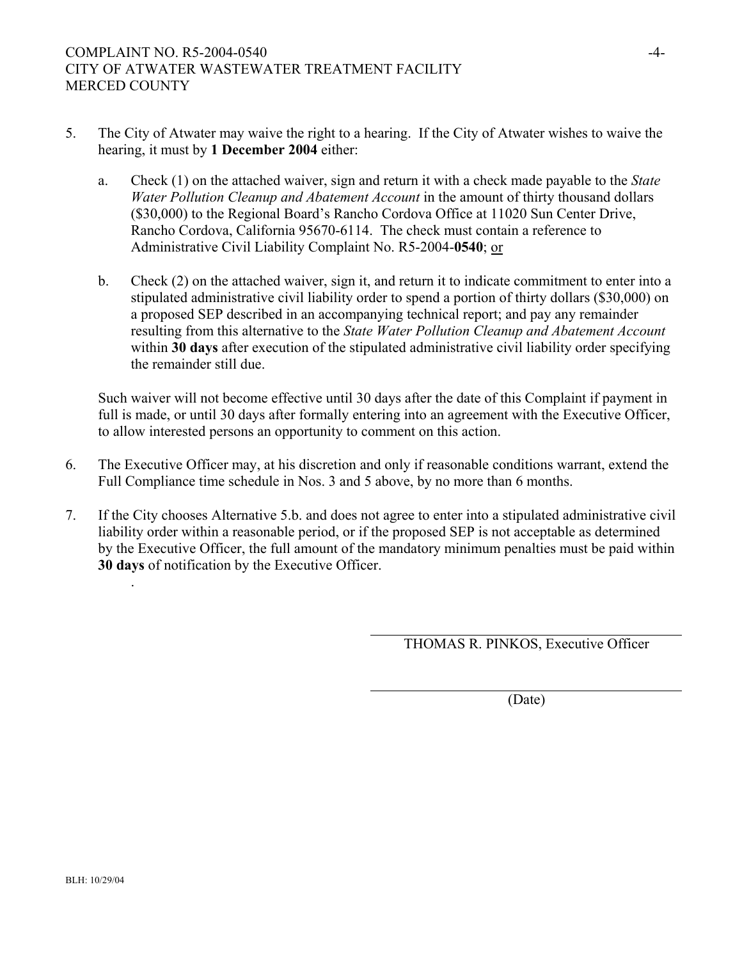- 5. The City of Atwater may waive the right to a hearing. If the City of Atwater wishes to waive the hearing, it must by **1 December 2004** either:
	- a. Check (1) on the attached waiver, sign and return it with a check made payable to the *State Water Pollution Cleanup and Abatement Account* in the amount of thirty thousand dollars (\$30,000) to the Regional Board's Rancho Cordova Office at 11020 Sun Center Drive, Rancho Cordova, California 95670-6114. The check must contain a reference to Administrative Civil Liability Complaint No. R5-2004-**0540**; or
	- b. Check (2) on the attached waiver, sign it, and return it to indicate commitment to enter into a stipulated administrative civil liability order to spend a portion of thirty dollars (\$30,000) on a proposed SEP described in an accompanying technical report; and pay any remainder resulting from this alternative to the *State Water Pollution Cleanup and Abatement Account* within **30 days** after execution of the stipulated administrative civil liability order specifying the remainder still due.

Such waiver will not become effective until 30 days after the date of this Complaint if payment in full is made, or until 30 days after formally entering into an agreement with the Executive Officer, to allow interested persons an opportunity to comment on this action.

- 6. The Executive Officer may, at his discretion and only if reasonable conditions warrant, extend the Full Compliance time schedule in Nos. 3 and 5 above, by no more than 6 months.
- 7. If the City chooses Alternative 5.b. and does not agree to enter into a stipulated administrative civil liability order within a reasonable period, or if the proposed SEP is not acceptable as determined by the Executive Officer, the full amount of the mandatory minimum penalties must be paid within **30 days** of notification by the Executive Officer.

THOMAS R. PINKOS, Executive Officer

(Date)

.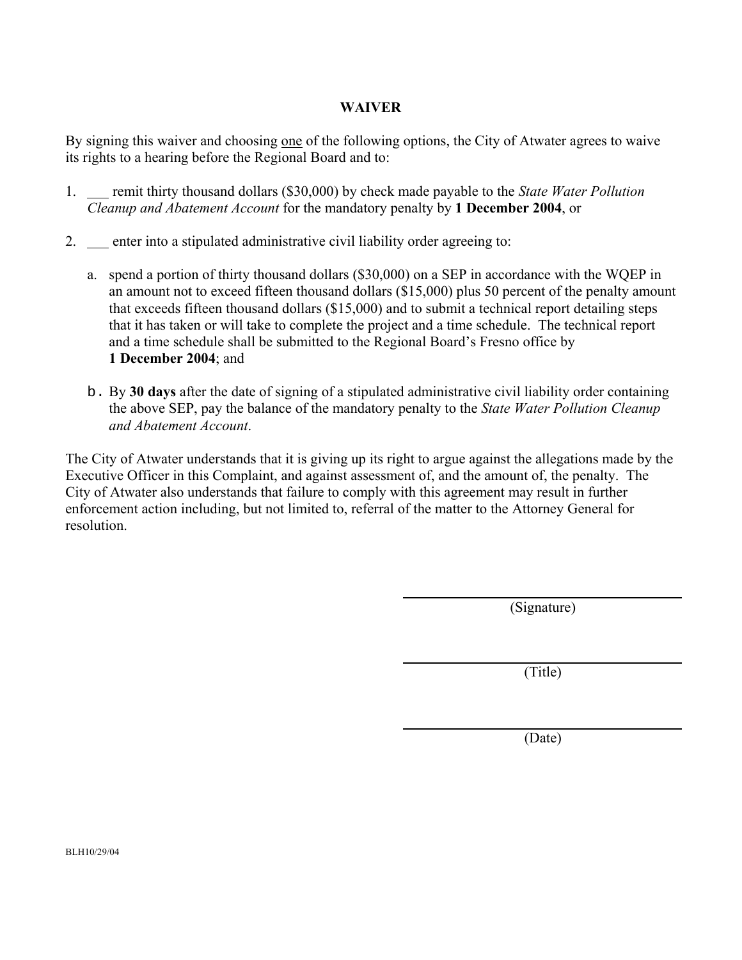#### **WAIVER**

By signing this waiver and choosing one of the following options, the City of Atwater agrees to waive its rights to a hearing before the Regional Board and to:

- 1. remit thirty thousand dollars (\$30,000) by check made payable to the *State Water Pollution Cleanup and Abatement Account* for the mandatory penalty by **1 December 2004**, or
- 2. enter into a stipulated administrative civil liability order agreeing to:
	- a. spend a portion of thirty thousand dollars (\$30,000) on a SEP in accordance with the WQEP in an amount not to exceed fifteen thousand dollars (\$15,000) plus 50 percent of the penalty amount that exceeds fifteen thousand dollars (\$15,000) and to submit a technical report detailing steps that it has taken or will take to complete the project and a time schedule. The technical report and a time schedule shall be submitted to the Regional Board's Fresno office by **1 December 2004**; and
	- b. By **30 days** after the date of signing of a stipulated administrative civil liability order containing the above SEP, pay the balance of the mandatory penalty to the *State Water Pollution Cleanup and Abatement Account*.

The City of Atwater understands that it is giving up its right to argue against the allegations made by the Executive Officer in this Complaint, and against assessment of, and the amount of, the penalty. The City of Atwater also understands that failure to comply with this agreement may result in further enforcement action including, but not limited to, referral of the matter to the Attorney General for resolution.

(Signature)

(Title)

(Date)